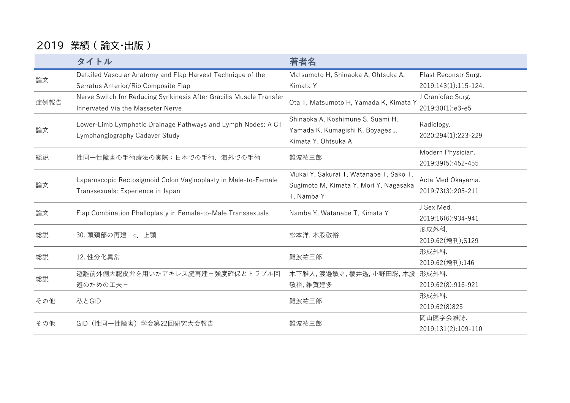## 2019 業績 ( 論文・出版 )

|      | タイトル                                                                                                     | 著者名                                                                               |                      |
|------|----------------------------------------------------------------------------------------------------------|-----------------------------------------------------------------------------------|----------------------|
| 論文   | Detailed Vascular Anatomy and Flap Harvest Technique of the                                              | Matsumoto H, Shinaoka A, Ohtsuka A,                                               | Plast Reconstr Surg. |
|      | Serratus Anterior/Rib Composite Flap                                                                     | Kimata Y                                                                          | 2019;143(1):115-124. |
| 症例報告 | Nerve Switch for Reducing Synkinesis After Gracilis Muscle Transfer<br>Innervated Via the Masseter Nerve | Ota T, Matsumoto H, Yamada K, Kimata Y                                            | J Craniofac Surg.    |
|      |                                                                                                          |                                                                                   | 2019;30(1):e3-e5     |
| 論文   | Lower-Limb Lymphatic Drainage Pathways and Lymph Nodes: A CT<br>Lymphangiography Cadaver Study           | Shinaoka A, Koshimune S, Suami H,                                                 | Radiology.           |
|      |                                                                                                          | Yamada K, Kumagishi K, Boyages J,                                                 |                      |
|      |                                                                                                          | Kimata Y, Ohtsuka A                                                               | 2020;294(1):223-229  |
| 総説   | 性同一性障害の手術療法の実際:日本での手術、海外での手術                                                                             | 難波祐三郎                                                                             | Modern Physician.    |
|      |                                                                                                          |                                                                                   | 2019;39(5):452-455   |
|      | Laparoscopic Rectosigmoid Colon Vaginoplasty in Male-to-Female<br>Transsexuals: Experience in Japan      | Mukai Y, Sakurai T, Watanabe T, Sako T,<br>Sugimoto M, Kimata Y, Mori Y, Nagasaka | Acta Med Okayama.    |
| 論文   |                                                                                                          |                                                                                   | 2019;73(3):205-211   |
|      |                                                                                                          | T, Namba Y                                                                        |                      |
| 論文   | Flap Combination Phalloplasty in Female-to-Male Transsexuals                                             | Namba Y, Watanabe T, Kimata Y                                                     | J Sex Med.           |
|      |                                                                                                          |                                                                                   | 2019;16(6):934-941   |
| 総説   | 30. 頭頚部の再建 c. 上顎                                                                                         | 松本洋, 木股敬裕                                                                         | 形成外科.                |
|      |                                                                                                          |                                                                                   | 2019;62(增刊);S129     |
| 総説   | 12. 性分化異常                                                                                                | 難波祐三郎                                                                             | 形成外科.                |
|      |                                                                                                          |                                                                                   | 2019;62(増刊):146      |
| 総説   | 遊離前外側大腿皮弁を用いたアキレス腱再建-強度確保とトラブル回                                                                          | 木下雅人,渡邊敏之,櫻井透,小野田聡,木股 形成外科.                                                       |                      |
|      | 避のための工夫ー                                                                                                 | 敬裕, 雑賀建多                                                                          | 2019;62(8):916-921   |
| その他  | 私とGID                                                                                                    | 難波祐三郎                                                                             | 形成外科.                |
|      |                                                                                                          |                                                                                   | 2019;62(8)825        |
| その他  | GID (性同一性障害) 学会第22回研究大会報告                                                                                | 難波祐三郎                                                                             | 岡山医学会雑誌.             |
|      |                                                                                                          |                                                                                   | 2019;131(2):109-110  |